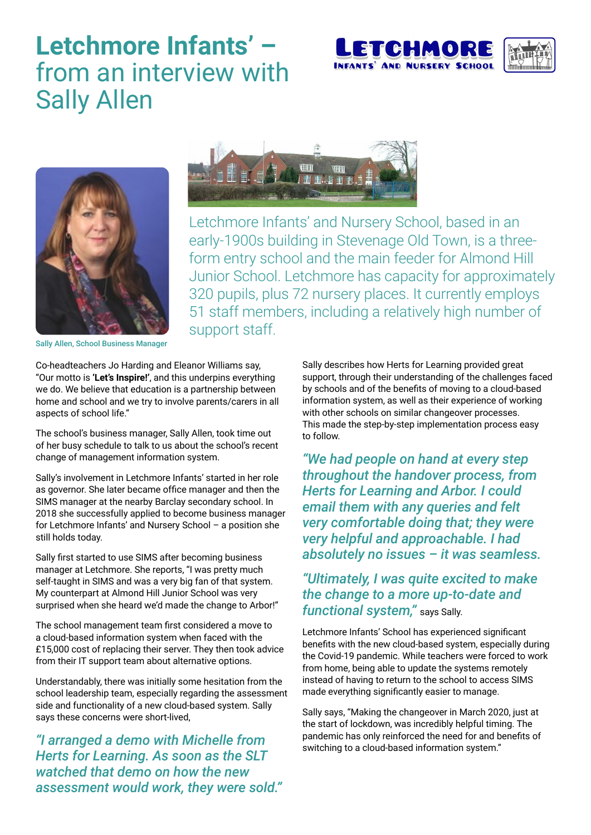## **Letchmore Infants' –** from an interview with Sally Allen







Letchmore Infants' and Nursery School, based in an early-1900s building in Stevenage Old Town, is a threeform entry school and the main feeder for Almond Hill Junior School. Letchmore has capacity for approximately 320 pupils, plus 72 nursery places. It currently employs 51 staff members, including a relatively high number of support staff.

Sally Allen, School Business Manager

Co-headteachers Jo Harding and Eleanor Williams say, "Our motto is **'Let's Inspire!'**, and this underpins everything we do. We believe that education is a partnership between home and school and we try to involve parents/carers in all aspects of school life."

The school's business manager, Sally Allen, took time out of her busy schedule to talk to us about the school's recent change of management information system.

Sally's involvement in Letchmore Infants' started in her role as governor. She later became office manager and then the SIMS manager at the nearby Barclay secondary school. In 2018 she successfully applied to become business manager for Letchmore Infants' and Nursery School – a position she still holds today.

Sally first started to use SIMS after becoming business manager at Letchmore. She reports, "I was pretty much self-taught in SIMS and was a very big fan of that system. My counterpart at Almond Hill Junior School was very surprised when she heard we'd made the change to Arbor!"

The school management team first considered a move to a cloud-based information system when faced with the £15,000 cost of replacing their server. They then took advice from their IT support team about alternative options.

Understandably, there was initially some hesitation from the school leadership team, especially regarding the assessment side and functionality of a new cloud-based system. Sally says these concerns were short-lived,

*"I arranged a demo with Michelle from Herts for Learning. As soon as the SLT watched that demo on how the new assessment would work, they were sold."* Sally describes how Herts for Learning provided great support, through their understanding of the challenges faced by schools and of the benefits of moving to a cloud-based information system, as well as their experience of working with other schools on similar changeover processes. This made the step-by-step implementation process easy to follow.

*"We had people on hand at every step throughout the handover process, from Herts for Learning and Arbor. I could email them with any queries and felt very comfortable doing that; they were very helpful and approachable. I had absolutely no issues – it was seamless.* 

## *"Ultimately, I was quite excited to make the change to a more up-to-date and functional system,"* says Sally.

Letchmore Infants' School has experienced significant benefits with the new cloud-based system, especially during the Covid-19 pandemic. While teachers were forced to work from home, being able to update the systems remotely instead of having to return to the school to access SIMS made everything significantly easier to manage.

Sally says, "Making the changeover in March 2020, just at the start of lockdown, was incredibly helpful timing. The pandemic has only reinforced the need for and benefits of switching to a cloud-based information system."